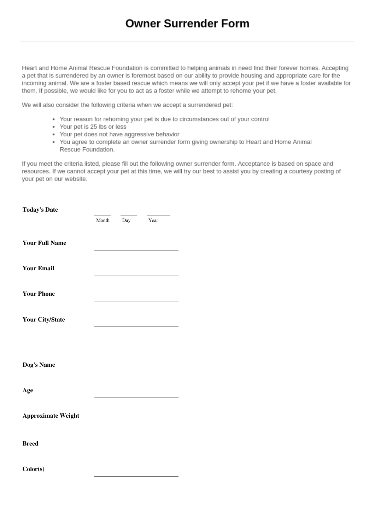Heart and Home Animal Rescue Foundation is committed to helping animals in need find their forever homes. Accepting a pet that is surrendered by an owner is foremost based on our ability to provide housing and appropriate care for the incoming animal. We are a foster based rescue which means we will only accept your pet if we have a foster available for them. If possible, we would like for you to act as a foster while we attempt to rehome your pet.

We will also consider the following criteria when we accept a surrendered pet:

- Your reason for rehoming your pet is due to circumstances out of your control
- Your pet is 25 lbs or less
- Your pet does not have aggressive behavior
- . You agree to complete an owner surrender form giving ownership to Heart and Home Animal Rescue Foundation.

If you meet the criteria listed, please fill out the following owner surrender form. Acceptance is based on space and resources. If we cannot accept your pet at this time, we will try our best to assist you by creating a courtesy posting of your pet on our website.

| <b>Today's Date</b>       |       |     |      |  |
|---------------------------|-------|-----|------|--|
|                           | Month | Day | Year |  |
|                           |       |     |      |  |
| <b>Your Full Name</b>     |       |     |      |  |
|                           |       |     |      |  |
| <b>Your Email</b>         |       |     |      |  |
|                           |       |     |      |  |
| <b>Your Phone</b>         |       |     |      |  |
|                           |       |     |      |  |
|                           |       |     |      |  |
| <b>Your City/State</b>    |       |     |      |  |
|                           |       |     |      |  |
|                           |       |     |      |  |
|                           |       |     |      |  |
| Dog's Name                |       |     |      |  |
|                           |       |     |      |  |
| Age                       |       |     |      |  |
|                           |       |     |      |  |
| <b>Approximate Weight</b> |       |     |      |  |
|                           |       |     |      |  |
| <b>Breed</b>              |       |     |      |  |
|                           |       |     |      |  |
|                           |       |     |      |  |
| Color(s)                  |       |     |      |  |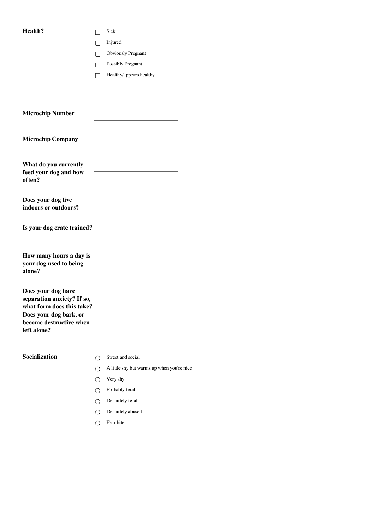# **Health?**

| Health?                                                                                                                                           | ⊓ | Sick                                            |  |
|---------------------------------------------------------------------------------------------------------------------------------------------------|---|-------------------------------------------------|--|
|                                                                                                                                                   | ∩ | Injured                                         |  |
|                                                                                                                                                   | n | Obviously Pregnant                              |  |
|                                                                                                                                                   | ∩ | <b>Possibly Pregnant</b>                        |  |
|                                                                                                                                                   | ∩ | Healthy/appears healthy                         |  |
|                                                                                                                                                   |   |                                                 |  |
|                                                                                                                                                   |   |                                                 |  |
| <b>Microchip Number</b>                                                                                                                           |   |                                                 |  |
| <b>Microchip Company</b>                                                                                                                          |   | the control of the control of the control of    |  |
| What do you currently<br>feed your dog and how<br>often?                                                                                          |   |                                                 |  |
| Does your dog live<br>indoors or outdoors?                                                                                                        |   | <u> 1989 - Johann Barnett, fransk politik (</u> |  |
| Is your dog crate trained?                                                                                                                        |   |                                                 |  |
| How many hours a day is<br>your dog used to being<br>alone?                                                                                       |   |                                                 |  |
| Does your dog have<br>separation anxiety? If so,<br>what form does this take?<br>Does your dog bark, or<br>become destructive when<br>left alone? |   |                                                 |  |
| Socialization                                                                                                                                     | ∩ | Sweet and social                                |  |

- $\bigcirc$  A little shy but warms up when you're nice
- Very shy ❍
- Probably feral ❍
- Definitely feral ❍
- Definitely abused ❍
- Fear biter ❍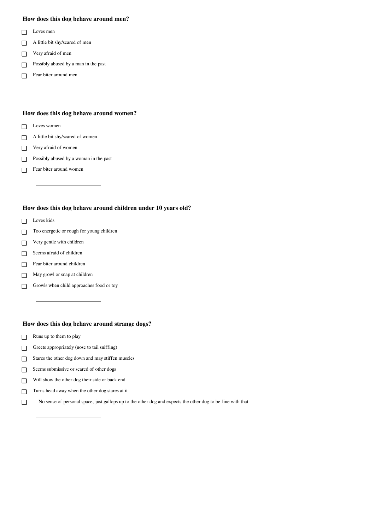### **How does this dog behave around men?**

- Loves men  $\Box$
- A little bit shy/scared of men ❏
- Very afraid of men ❏
- Possibly abused by a man in the past ❏
- Fear biter around men ❏

#### **How does this dog behave around women?**

- Loves women ❏
- A little bit shy/scared of women ❏
- Very afraid of women ❏
- Possibly abused by a woman in the past ❏
- Fear biter around women  $\Box$

### **How does this dog behave around children under 10 years old?**

- Loves kids ❏
- Too energetic or rough for young children ❏
- Very gentle with children ❏
- Seems afraid of children ❏
- Fear biter around children ❏
- May growl or snap at children ❏
- Growls when child approaches food or toy ❏

## **How does this dog behave around strange dogs?**

- Runs up to them to play ❏
- Greets appropriately (nose to tail sniffing) ❏
- Stares the other dog down and may stiffen muscles  $\Box$
- Seems submissive or scared of other dogs ❏
- Will show the other dog their side or back end ❏
- Turns head away when the other dog stares at it ❏
- No sense of personal space, just gallops up to the other dog and expects the other dog to be fine with that ❏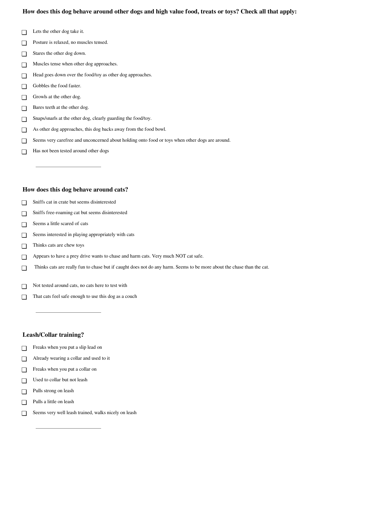## **How does this dog behave around other dogs and high value food, treats or toys? Check all that apply:**

- Lets the other dog take it. ❏
- Posture is relaxed, no muscles tensed. ❏
- Stares the other dog down. ❏
- Muscles tense when other dog approaches. ❏
- Head goes down over the food/toy as other dog approaches. ❏
- Gobbles the food faster. ❏
- Growls at the other dog.  $\Box$
- Bares teeth at the other dog.  $\Box$
- Snaps/snarls at the other dog, clearly guarding the food/toy. ❏
- As other dog approaches, this dog backs away from the food bowl. ❏
- Seems very carefree and unconcerned about holding onto food or toys when other dogs are around. ❏
- Has not been tested around other dogs ❏

#### **How does this dog behave around cats?**

- Sniffs cat in crate but seems disinterested ❏
- Sniffs free-roaming cat but seems disinterested  $\Box$
- Seems a little scared of cats ❏
- Seems interested in playing appropriately with cats  $\Box$
- Thinks cats are chew toys  $\Box$
- Appears to have a prey drive wants to chase and harm cats. Very much NOT cat safe. ❏
- Thinks cats are really fun to chase but if caught does not do any harm. Seems to be more about the chase than the cat. ❏
- Not tested around cats, no cats here to test with ❏
- That cats feel safe enough to use this dog as a couch ❏

#### **Leash/Collar training?**

- Freaks when you put a slip lead on ❏
- Already wearing a collar and used to it  $\Box$
- Freaks when you put a collar on  $\Box$
- Used to collar but not leash ❏
- Pulls strong on leash  $\Box$
- Pulls a little on leash ❏
- Seems very well leash trained, walks nicely on leash ❏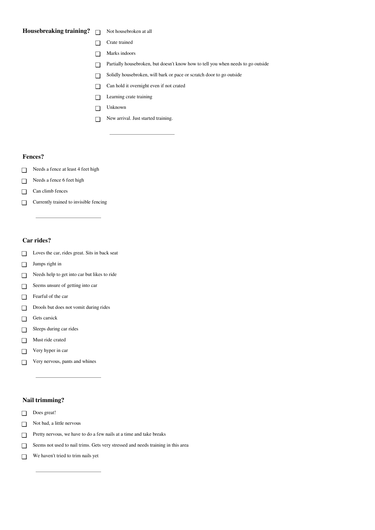#### **Housebreaking training?**  $\Box$  Not housebroken at all  $\Box$

- Crate trained ❏
- Marks indoors ❏
- Partially housebroken, but doesn't know how to tell you when needs to go outside ❏
- Solidly housebroken, will bark or pace or scratch door to go outside ❏
- Can hold it overnight even if not crated ❏
- Learning crate training ❏
- Unknown  $\Box$
- New arrival. Just started training. ❏

#### **Fences?**

- Needs a fence at least 4 feet high ❏
- Needs a fence 6 feet high ❏
- Can climb fences ❏
- Currently trained to invisible fencing ❏

## **Car rides?**

- Loves the car, rides great. Sits in back seat ❏
- Jumps right in ❏
- Needs help to get into car but likes to ride ❏
- Seems unsure of getting into car ❏
- Fearful of the car  $\Box$
- Drools but does not vomit during rides  $\Box$
- Gets carsick ❏
- Sleeps during car rides ❏
- Must ride crated ❏
- Very hyper in car ❏
- Very nervous, pants and whines ❏

## **Nail trimming?**

- Does great! ❏
- Not bad, a little nervous ❏
- Pretty nervous, we have to do a few nails at a time and take breaks ❏
- Seems not used to nail trims. Gets very stressed and needs training in this area  $\Box$
- We haven't tried to trim nails yet ❏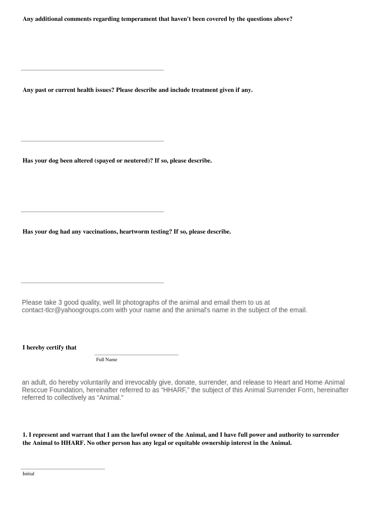**Any additional comments regarding temperament that haven't been covered by the questions above?**

**Any past or current health issues? Please describe and include treatment given if any.**

**Has your dog been altered (spayed or neutered)? If so, please describe.**

**Has your dog had any vaccinations, heartworm testing? If so, please describe.**

Please take 3 good quality, well lit photographs of the animal and email them to us at contact-tlcr@yahoogroups.com with your name and the animal's name in the subject of the email.

**I hereby certify that**

Full Name

an adult, do hereby voluntarily and irrevocably give, donate, surrender, and release to Heart and Home Animal Resccue Foundation, hereinafter referred to as "HHARF," the subject of this Animal Surrender Form, hereinafter referred to collectively as "Animal."

**1. I represent and warrant that I am the lawful owner of the Animal, and I have full power and authority to surrender the Animal to HHARF. No other person has any legal or equitable ownership interest in the Animal.**

Initial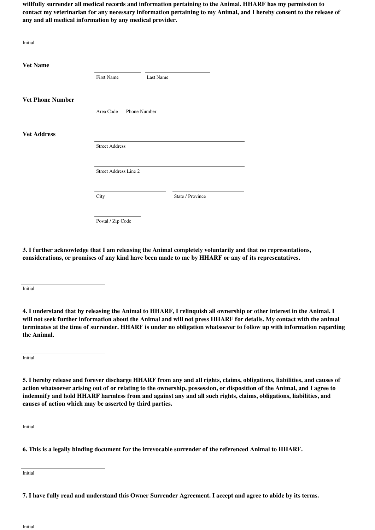**willfully surrender all medical records and information pertaining to the Animal. HHARF has my permission to contact my veterinarian for any necessary information pertaining to my Animal, and I hereby consent to the release of any and all medical information by any medical provider.**

| Initial                 |                        |           |                  |  |
|-------------------------|------------------------|-----------|------------------|--|
| <b>Vet Name</b>         |                        |           |                  |  |
|                         | First Name             | Last Name |                  |  |
| <b>Vet Phone Number</b> |                        |           |                  |  |
|                         | Area Code Phone Number |           |                  |  |
| <b>Vet Address</b>      |                        |           |                  |  |
|                         | <b>Street Address</b>  |           |                  |  |
|                         | Street Address Line 2  |           |                  |  |
|                         | City                   |           | State / Province |  |
|                         |                        |           |                  |  |
|                         |                        |           |                  |  |

Postal / Zip Code

**3. I further acknowledge that I am releasing the Animal completely voluntarily and that no representations, considerations, or promises of any kind have been made to me by HHARF or any of its representatives.**

Initial

**4. I understand that by releasing the Animal to HHARF, I relinquish all ownership or other interest in the Animal. I will not seek further information about the Animal and will not press HHARF for details. My contact with the animal terminates at the time of surrender. HHARF is under no obligation whatsoever to follow up with information regarding the Animal.**

Initial

**5. I hereby release and forever discharge HHARF from any and all rights, claims, obligations, liabilities, and causes of action whatsoever arising out of or relating to the ownership, possession, or disposition of the Animal, and I agree to indemnify and hold HHARF harmless from and against any and all such rights, claims, obligations, liabilities, and causes of action which may be asserted by third parties.**

Initial

**6. This is a legally binding document for the irrevocable surrender of the referenced Animal to HHARF.**

Initial

**7. I have fully read and understand this Owner Surrender Agreement. I accept and agree to abide by its terms.**

Initial